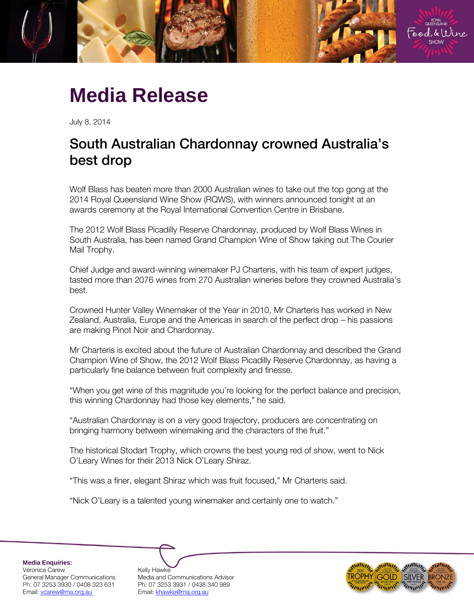

# **Media Release**

July 8, 2014

# South Australian Chardonnay crowned Australia's best drop

Wolf Blass has beaten more than 2000 Australian wines to take out the top gong at the 2014 Royal Queensland Wine Show (RQWS), with winners announced tonight at an awards ceremony at the Royal International Convention Centre in Brisbane.

The 2012 Wolf Blass Picadilly Reserve Chardonnay, produced by Wolf Blass Wines in South Australia, has been named Grand Champion Wine of Show taking out The Courier Mail Trophy.

Chief Judge and award-winning winemaker PJ Charteris, with his team of expert judges, tasted more than 2076 wines from 270 Australian wineries before they crowned Australia's best.

Crowned Hunter Valley Winemaker of the Year in 2010, Mr Charteris has worked in New Zealand, Australia, Europe and the Americas in search of the perfect drop – his passions are making Pinot Noir and Chardonnay.

Mr Charteris is excited about the future of Australian Chardonnay and described the Grand Champion Wine of Show, the 2012 Wolf Blass Picadilly Reserve Chardonnay, as having a particularly fine balance between fruit complexity and finesse.

"When you get wine of this magnitude you're looking for the perfect balance and precision, this winning Chardonnay had those key elements," he said.

"Australian Chardonnay is on a very good trajectory, producers are concentrating on bringing harmony between winemaking and the characters of the fruit."

The historical Stodart Trophy, which crowns the best young red of show, went to Nick O'Leary Wines for their 2013 Nick O'Leary Shiraz.

"This was a finer, elegant Shiraz which was fruit focused," Mr Charteris said.

"Nick O'Leary is a talented young winemaker and certainly one to watch."

**Media Enquiries:** Veronica Carew 
Kelly Hawke<br>
General Manager Communications Media and C Email[: vcarew@rna.org.au](mailto:vcarew@rna.org.au) Email: [khawke@rna.org.au](mailto:khawke@rna.org.au)

Media and Communications Advisor Ph: 07 3253 3930 / 0408 323 631 Ph: 07 3253 3931 / 0438 340 989

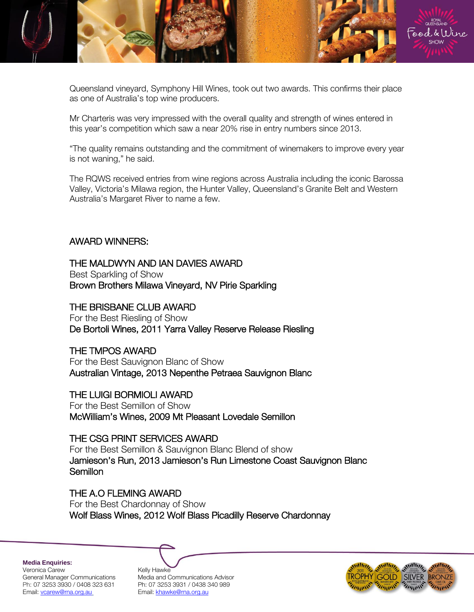

Queensland vineyard, Symphony Hill Wines, took out two awards. This confirms their place as one of Australia's top wine producers.

Mr Charteris was very impressed with the overall quality and strength of wines entered in this year's competition which saw a near 20% rise in entry numbers since 2013.

"The quality remains outstanding and the commitment of winemakers to improve every year is not waning," he said.

The RQWS received entries from wine regions across Australia including the iconic Barossa Valley, Victoria's Milawa region, the Hunter Valley, Queensland's Granite Belt and Western Australia's Margaret River to name a few.

### AWARD WINNERS:

## THE MALDWYN AND IAN DAVIES AWARD

Best Sparkling of Show Brown Brothers Milawa Vineyard, NV Pirie Sparkling

#### THE BRISBANE CLUB AWARD

For the Best Riesling of Show De Bortoli Wines, 2011 Yarra Valley Reserve Release Riesling

#### THE TMPOS AWARD

For the Best Sauvignon Blanc of Show Australian Vintage, 2013 Nepenthe Petraea Sauvignon Blanc

### THE LUIGI BORMIOLI AWARD

For the Best Semillon of Show McWilliam's Wines, 2009 Mt Pleasant Lovedale Semillon

#### THE CSG PRINT SERVICES AWARD

For the Best Semillon & Sauvignon Blanc Blend of show Jamieson's Run, 2013 Jamieson's Run Limestone Coast Sauvignon Blanc Semillon

# THE A.O FLEMING AWARD

For the Best Chardonnay of Show Wolf Blass Wines, 2012 Wolf Blass Picadilly Reserve Chardonnay

**Media Enquiries:**

Veronica Carew General Manager Communications Ph: 07 3253 3930 / 0408 323 631 Email[: vcarew@rna.org.au](mailto:vcarew@rna.org.au)

| Kellv Hawke                      |
|----------------------------------|
| Media and Communications Advisor |
| Ph: 07 3253 3931 / 0438 340 989  |
| Email: khawke@rna.org.au         |

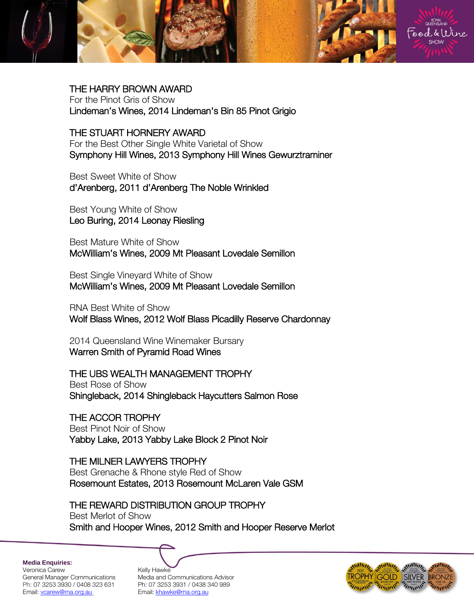

THE HARRY BROWN AWARD For the Pinot Gris of Show Lindeman's Wines, 2014 Lindeman's Bin 85 Pinot Grigio

THE STUART HORNERY AWARD For the Best Other Single White Varietal of Show Symphony Hill Wines, 2013 Symphony Hill Wines Gewurztraminer

Best Sweet White of Show d'Arenberg, 2011 d'Arenberg The Noble Wrinkled

Best Young White of Show Leo Buring, 2014 Leonay Riesling

Best Mature White of Show McWilliam's Wines, 2009 Mt Pleasant Lovedale Semillon

Best Single Vineyard White of Show McWilliam's Wines, 2009 Mt Pleasant Lovedale Semillon

RNA Best White of Show Wolf Blass Wines, 2012 Wolf Blass Picadilly Reserve Chardonnay

2014 Queensland Wine Winemaker Bursary Warren Smith of Pyramid Road Wines

THE UBS WEALTH MANAGEMENT TROPHY

Best Rose of Show Shingleback, 2014 Shingleback Haycutters Salmon Rose

THE ACCOR TROPHY Best Pinot Noir of Show Yabby Lake, 2013 Yabby Lake Block 2 Pinot Noir

THE MILNER LAWYERS TROPHY Best Grenache & Rhone style Red of Show Rosemount Estates, 2013 Rosemount McLaren Vale GSM

THE REWARD DISTRIBUTION GROUP TROPHY Best Merlot of Show Smith and Hooper Wines, 2012 Smith and Hooper Reserve Merlot

**Media Enquiries:** Veronica Carew 
Kelly Hawke<br>
General Manager Communications Media and C Email[: vcarew@rna.org.au](mailto:vcarew@rna.org.au) Email: [khawke@rna.org.au](mailto:khawke@rna.org.au)

Media and Communications Advisor Ph: 07 3253 3930 / 0408 323 631 Ph: 07 3253 3931 / 0438 340 989

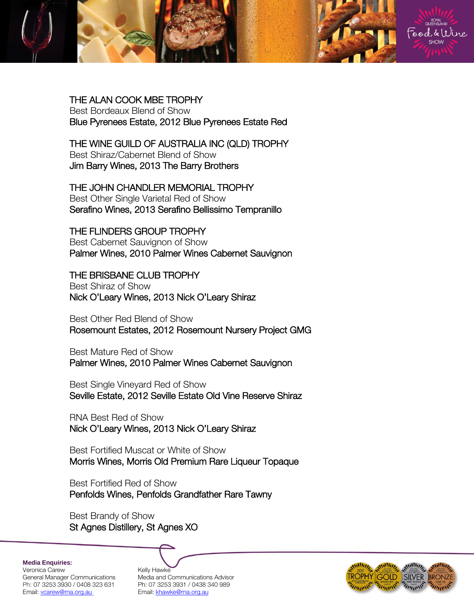

THE ALAN COOK MBE TROPHY Best Bordeaux Blend of Show Blue Pyrenees Estate, 2012 Blue Pyrenees Estate Red

THE WINE GUILD OF AUSTRALIA INC (QLD) TROPHY Best Shiraz/Cabernet Blend of Show Jim Barry Wines, 2013 The Barry Brothers

THE JOHN CHANDLER MEMORIAL TROPHY Best Other Single Varietal Red of Show Serafino Wines, 2013 Serafino Bellissimo Tempranillo

THE FLINDERS GROUP TROPHY Best Cabernet Sauvignon of Show Palmer Wines, 2010 Palmer Wines Cabernet Sauvignon

THE BRISBANE CLUB TROPHY Best Shiraz of Show Nick O'Leary Wines, 2013 Nick O'Leary Shiraz

Best Other Red Blend of Show Rosemount Estates, 2012 Rosemount Nursery Project GMG

Best Mature Red of Show Palmer Wines, 2010 Palmer Wines Cabernet Sauvignon

Best Single Vineyard Red of Show Seville Estate, 2012 Seville Estate Old Vine Reserve Shiraz

RNA Best Red of Show Nick O'Leary Wines, 2013 Nick O'Leary Shiraz

Best Fortified Muscat or White of Show Morris Wines, Morris Old Premium Rare Liqueur Topaque

Best Fortified Red of Show Penfolds Wines, Penfolds Grandfather Rare Tawny

Best Brandy of Show St Agnes Distillery, St Agnes XO

**Media Enquiries:** Veronica Carew <br>General Manager Communications Media and C Ph: 07 3253 3930 / 0408 323 631 Ph: 07 3253 3931 / 0438 340 989 Email[: vcarew@rna.org.au](mailto:vcarew@rna.org.au) Fmail: [khawke@rna.org.au](mailto:khawke@rna.org.au)

Media and Communications Advisor